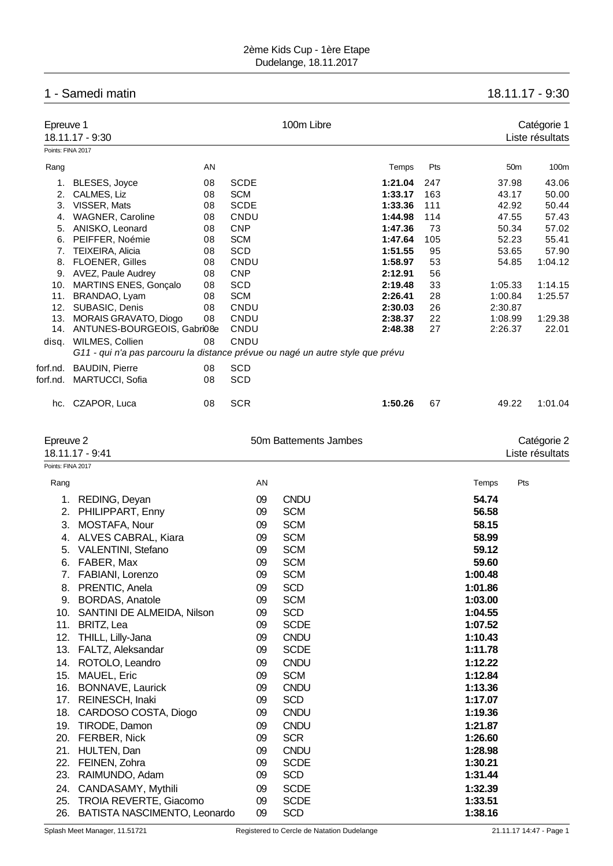## 2ème Kids Cup - 1ère Etape Dudelange, 18.11.2017

## 1 - Samedi matin 18.11.17 - 9:30

| Epreuve 1         |                             |    | 100m Libre                                                                     |         |     |                 | Catégorie 1     |
|-------------------|-----------------------------|----|--------------------------------------------------------------------------------|---------|-----|-----------------|-----------------|
|                   | 18.11.17 - 9:30             |    |                                                                                |         |     |                 | Liste résultats |
| Points: FINA 2017 |                             |    |                                                                                |         |     |                 |                 |
| Rang              |                             | AN |                                                                                | Temps   | Pts | 50 <sub>m</sub> | 100m            |
| 1.                | BLESES, Joyce               | 08 | <b>SCDE</b>                                                                    | 1:21.04 | 247 | 37.98           | 43.06           |
| 2.                | CALMES, Liz                 | 08 | <b>SCM</b>                                                                     | 1:33.17 | 163 | 43.17           | 50.00           |
| 3.                | VISSER, Mats                | 08 | <b>SCDE</b>                                                                    | 1:33.36 | 111 | 42.92           | 50.44           |
| 4.                | WAGNER, Caroline            | 08 | CNDU                                                                           | 1:44.98 | 114 | 47.55           | 57.43           |
| 5.                | ANISKO, Leonard             | 08 | <b>CNP</b>                                                                     | 1:47.36 | 73  | 50.34           | 57.02           |
| 6.                | PEIFFER, Noémie             | 08 | <b>SCM</b>                                                                     | 1:47.64 | 105 | 52.23           | 55.41           |
| 7.                | <b>TEIXEIRA, Alicia</b>     | 08 | SCD                                                                            | 1:51.55 | 95  | 53.65           | 57.90           |
| 8.                | <b>FLOENER, Gilles</b>      | 08 | CNDU                                                                           | 1:58.97 | 53  | 54.85           | 1:04.12         |
| 9.                | AVEZ, Paule Audrey          | 08 | <b>CNP</b>                                                                     | 2:12.91 | 56  |                 |                 |
| 10.               | MARTINS ENES, Gonçalo       | 08 | <b>SCD</b>                                                                     | 2:19.48 | 33  | 1:05.33         | 1:14.15         |
| 11.               | BRANDAO, Lyam               | 08 | <b>SCM</b>                                                                     | 2:26.41 | 28  | 1:00.84         | 1:25.57         |
| 12.               | SUBASIC, Denis              | 08 | CNDU                                                                           | 2:30.03 | 26  | 2:30.87         |                 |
| 13.               | MORAIS GRAVATO, Diogo       | 08 | CNDU                                                                           | 2:38.37 | 22  | 1:08.99         | 1:29.38         |
| 14.               | ANTUNES-BOURGEOIS, Gabri08e |    | CNDU                                                                           | 2:48.38 | 27  | 2:26.37         | 22.01           |
|                   | disq. WILMES, Collien       | 08 | CNDU                                                                           |         |     |                 |                 |
|                   |                             |    | G11 - qui n'a pas parcouru la distance prévue ou nagé un autre style que prévu |         |     |                 |                 |
| forf.nd.          | <b>BAUDIN, Pierre</b>       | 08 | <b>SCD</b>                                                                     |         |     |                 |                 |
| forf.nd.          | <b>MARTUCCI, Sofia</b>      | 08 | SCD                                                                            |         |     |                 |                 |
| hc.               | CZAPOR, Luca                | 08 | <b>SCR</b>                                                                     | 1:50.26 | 67  | 49.22           | 1:01.04         |
| Epreuve 2         |                             |    | 50m Battements Jambes                                                          |         |     |                 | Catégorie 2     |
|                   | 18.11.17 - 9:41             |    |                                                                                |         |     |                 | Liste résultats |

| Points: FINA 2017 |                               |    |                                            |         |                         |
|-------------------|-------------------------------|----|--------------------------------------------|---------|-------------------------|
| Rang              |                               | AN |                                            | Temps   | Pts                     |
| 1.                | REDING, Deyan                 | 09 | <b>CNDU</b>                                | 54.74   |                         |
| 2.                | PHILIPPART, Enny              | 09 | <b>SCM</b>                                 | 56.58   |                         |
| 3.                | MOSTAFA, Nour                 | 09 | <b>SCM</b>                                 | 58.15   |                         |
| 4.                | ALVES CABRAL, Kiara           | 09 | <b>SCM</b>                                 | 58.99   |                         |
| 5.                | <b>VALENTINI, Stefano</b>     | 09 | <b>SCM</b>                                 | 59.12   |                         |
| 6.                | FABER, Max                    | 09 | <b>SCM</b>                                 | 59.60   |                         |
| 7.                | FABIANI, Lorenzo              | 09 | <b>SCM</b>                                 | 1:00.48 |                         |
| 8.                | PRENTIC, Anela                | 09 | <b>SCD</b>                                 | 1:01.86 |                         |
| 9.                | <b>BORDAS, Anatole</b>        | 09 | <b>SCM</b>                                 | 1:03.00 |                         |
| 10.               | SANTINI DE ALMEIDA, Nilson    | 09 | <b>SCD</b>                                 | 1:04.55 |                         |
| 11.               | BRITZ, Lea                    | 09 | <b>SCDE</b>                                | 1:07.52 |                         |
| 12.               | THILL, Lilly-Jana             | 09 | <b>CNDU</b>                                | 1:10.43 |                         |
| 13.               | FALTZ, Aleksandar             | 09 | <b>SCDE</b>                                | 1:11.78 |                         |
| 14.               | ROTOLO, Leandro               | 09 | <b>CNDU</b>                                | 1:12.22 |                         |
| 15.               | MAUEL, Eric                   | 09 | <b>SCM</b>                                 | 1:12.84 |                         |
| 16.               | BONNAVE, Laurick              | 09 | <b>CNDU</b>                                | 1:13.36 |                         |
| 17.               | REINESCH, Inaki               | 09 | <b>SCD</b>                                 | 1:17.07 |                         |
| 18.               | CARDOSO COSTA, Diogo          | 09 | <b>CNDU</b>                                | 1:19.36 |                         |
| 19.               | TIRODE, Damon                 | 09 | <b>CNDU</b>                                | 1:21.87 |                         |
| 20.               | FERBER, Nick                  | 09 | <b>SCR</b>                                 | 1:26.60 |                         |
| 21.               | HULTEN, Dan                   | 09 | <b>CNDU</b>                                | 1:28.98 |                         |
| 22.               | FEINEN, Zohra                 | 09 | <b>SCDE</b>                                | 1:30.21 |                         |
| 23.               | RAIMUNDO, Adam                | 09 | <b>SCD</b>                                 | 1:31.44 |                         |
| 24.               | CANDASAMY, Mythili            | 09 | <b>SCDE</b>                                | 1:32.39 |                         |
| 25.               | <b>TROIA REVERTE, Giacomo</b> | 09 | <b>SCDE</b>                                | 1:33.51 |                         |
| 26.               | BATISTA NASCIMENTO, Leonardo  | 09 | <b>SCD</b>                                 | 1:38.16 |                         |
|                   | Splash Meet Manager, 11.51721 |    | Registered to Cercle de Natation Dudelange |         | 21.11.17 14:47 - Page 1 |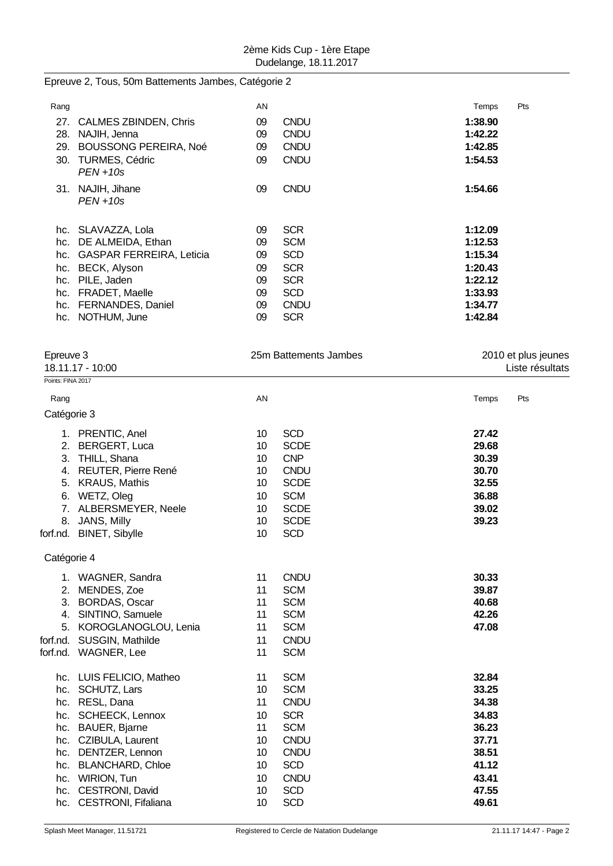Epreuve 2, Tous, 50m Battements Jambes, Catégorie 2

| Rang |                                      | AN |             | Temps   | Pts |
|------|--------------------------------------|----|-------------|---------|-----|
| 27.  | <b>CALMES ZBINDEN, Chris</b>         | 09 | <b>CNDU</b> | 1:38.90 |     |
| 28.  | NAJIH, Jenna                         | 09 | <b>CNDU</b> | 1:42.22 |     |
| 29.  | <b>BOUSSONG PEREIRA, Noé</b>         | 09 | <b>CNDU</b> | 1:42.85 |     |
| 30.  | <b>TURMES, Cédric</b><br>$PEN + 10s$ | 09 | <b>CNDU</b> | 1:54.53 |     |
| 31.  | NAJIH, Jihane<br>$PEN + 10s$         | 09 | <b>CNDU</b> | 1:54.66 |     |
| hc.  | SLAVAZZA, Lola                       | 09 | <b>SCR</b>  | 1:12.09 |     |
| hc.  | DE ALMEIDA, Ethan                    | 09 | <b>SCM</b>  | 1:12.53 |     |
| hc.  | <b>GASPAR FERREIRA, Leticia</b>      | 09 | <b>SCD</b>  | 1:15.34 |     |
| hc.  | BECK, Alyson                         | 09 | <b>SCR</b>  | 1:20.43 |     |
| hc.  | PILE, Jaden                          | 09 | <b>SCR</b>  | 1:22.12 |     |
| hc.  | FRADET, Maelle                       | 09 | <b>SCD</b>  | 1:33.93 |     |
| hc.  | FERNANDES, Daniel                    | 09 | <b>CNDU</b> | 1:34.77 |     |
| hc.  | NOTHUM, June                         | 09 | <b>SCR</b>  | 1:42.84 |     |

| Points: FINA 2017<br>AN<br>Temps<br>Pts<br>Rang<br>Catégorie 3<br><b>SCD</b><br>27.42<br>1. PRENTIC, Anel<br>10<br>2. BERGERT, Luca<br>10<br><b>SCDE</b><br>29.68<br><b>CNP</b><br>30.39<br>3. THILL, Shana<br>10 <sup>1</sup><br>30.70<br>4. REUTER, Pierre René<br>10<br><b>CNDU</b><br><b>SCDE</b><br>32.55<br>5. KRAUS, Mathis<br>10<br>6. WETZ, Oleg<br><b>SCM</b><br>36.88<br>10<br>7. ALBERSMEYER, Neele<br><b>SCDE</b><br>39.02<br>10<br><b>SCDE</b><br>39.23<br>JANS, Milly<br>10<br>8.<br>10<br><b>SCD</b><br>forf.nd. BINET, Sibylle<br>Catégorie 4<br><b>CNDU</b><br>11<br>30.33<br>1. WAGNER, Sandra<br>11<br><b>SCM</b><br>39.87<br>2. MENDES, Zoe<br>11<br><b>SCM</b><br>40.68<br>3. BORDAS, Oscar<br>11<br><b>SCM</b><br>42.26<br>4. SINTINO, Samuele<br>11<br><b>SCM</b><br>47.08<br>5. KOROGLANOGLOU, Lenia<br>forf.nd. SUSGIN, Mathilde<br><b>CNDU</b><br>11<br>11<br><b>SCM</b><br>forf.nd. WAGNER, Lee<br><b>SCM</b><br>32.84<br>hc. LUIS FELICIO, Matheo<br>11<br>10<br><b>SCM</b><br>33.25<br>hc. SCHUTZ, Lars<br>11<br><b>CNDU</b><br>34.38<br>hc. RESL, Dana<br>hc. SCHEECK, Lennox<br><b>SCR</b><br>34.83<br>10<br><b>SCM</b><br>36.23<br>hc. BAUER, Bjarne<br>11<br><b>CNDU</b><br>37.71<br>hc. CZIBULA, Laurent<br>10<br><b>CNDU</b><br>hc. DENTZER, Lennon<br>10<br>38.51<br><b>SCD</b><br>41.12<br>hc. BLANCHARD, Chloe<br>10<br>hc. WIRION, Tun<br>10<br><b>CNDU</b><br>43.41<br>hc. CESTRONI, David<br>10<br><b>SCD</b><br>47.55<br><b>SCD</b><br>hc. CESTRONI, Fifaliana<br>10<br>49.61 | Epreuve 3<br>18.11.17 - 10:00 |  | 25m Battements Jambes | 2010 et plus jeunes<br>Liste résultats |  |  |
|--------------------------------------------------------------------------------------------------------------------------------------------------------------------------------------------------------------------------------------------------------------------------------------------------------------------------------------------------------------------------------------------------------------------------------------------------------------------------------------------------------------------------------------------------------------------------------------------------------------------------------------------------------------------------------------------------------------------------------------------------------------------------------------------------------------------------------------------------------------------------------------------------------------------------------------------------------------------------------------------------------------------------------------------------------------------------------------------------------------------------------------------------------------------------------------------------------------------------------------------------------------------------------------------------------------------------------------------------------------------------------------------------------------------------------------------------------------------------------------------------------------------------|-------------------------------|--|-----------------------|----------------------------------------|--|--|
|                                                                                                                                                                                                                                                                                                                                                                                                                                                                                                                                                                                                                                                                                                                                                                                                                                                                                                                                                                                                                                                                                                                                                                                                                                                                                                                                                                                                                                                                                                                          |                               |  |                       |                                        |  |  |
|                                                                                                                                                                                                                                                                                                                                                                                                                                                                                                                                                                                                                                                                                                                                                                                                                                                                                                                                                                                                                                                                                                                                                                                                                                                                                                                                                                                                                                                                                                                          |                               |  |                       |                                        |  |  |
|                                                                                                                                                                                                                                                                                                                                                                                                                                                                                                                                                                                                                                                                                                                                                                                                                                                                                                                                                                                                                                                                                                                                                                                                                                                                                                                                                                                                                                                                                                                          |                               |  |                       |                                        |  |  |
|                                                                                                                                                                                                                                                                                                                                                                                                                                                                                                                                                                                                                                                                                                                                                                                                                                                                                                                                                                                                                                                                                                                                                                                                                                                                                                                                                                                                                                                                                                                          |                               |  |                       |                                        |  |  |
|                                                                                                                                                                                                                                                                                                                                                                                                                                                                                                                                                                                                                                                                                                                                                                                                                                                                                                                                                                                                                                                                                                                                                                                                                                                                                                                                                                                                                                                                                                                          |                               |  |                       |                                        |  |  |
|                                                                                                                                                                                                                                                                                                                                                                                                                                                                                                                                                                                                                                                                                                                                                                                                                                                                                                                                                                                                                                                                                                                                                                                                                                                                                                                                                                                                                                                                                                                          |                               |  |                       |                                        |  |  |
|                                                                                                                                                                                                                                                                                                                                                                                                                                                                                                                                                                                                                                                                                                                                                                                                                                                                                                                                                                                                                                                                                                                                                                                                                                                                                                                                                                                                                                                                                                                          |                               |  |                       |                                        |  |  |
|                                                                                                                                                                                                                                                                                                                                                                                                                                                                                                                                                                                                                                                                                                                                                                                                                                                                                                                                                                                                                                                                                                                                                                                                                                                                                                                                                                                                                                                                                                                          |                               |  |                       |                                        |  |  |
|                                                                                                                                                                                                                                                                                                                                                                                                                                                                                                                                                                                                                                                                                                                                                                                                                                                                                                                                                                                                                                                                                                                                                                                                                                                                                                                                                                                                                                                                                                                          |                               |  |                       |                                        |  |  |
|                                                                                                                                                                                                                                                                                                                                                                                                                                                                                                                                                                                                                                                                                                                                                                                                                                                                                                                                                                                                                                                                                                                                                                                                                                                                                                                                                                                                                                                                                                                          |                               |  |                       |                                        |  |  |
|                                                                                                                                                                                                                                                                                                                                                                                                                                                                                                                                                                                                                                                                                                                                                                                                                                                                                                                                                                                                                                                                                                                                                                                                                                                                                                                                                                                                                                                                                                                          |                               |  |                       |                                        |  |  |
|                                                                                                                                                                                                                                                                                                                                                                                                                                                                                                                                                                                                                                                                                                                                                                                                                                                                                                                                                                                                                                                                                                                                                                                                                                                                                                                                                                                                                                                                                                                          |                               |  |                       |                                        |  |  |
|                                                                                                                                                                                                                                                                                                                                                                                                                                                                                                                                                                                                                                                                                                                                                                                                                                                                                                                                                                                                                                                                                                                                                                                                                                                                                                                                                                                                                                                                                                                          |                               |  |                       |                                        |  |  |
|                                                                                                                                                                                                                                                                                                                                                                                                                                                                                                                                                                                                                                                                                                                                                                                                                                                                                                                                                                                                                                                                                                                                                                                                                                                                                                                                                                                                                                                                                                                          |                               |  |                       |                                        |  |  |
|                                                                                                                                                                                                                                                                                                                                                                                                                                                                                                                                                                                                                                                                                                                                                                                                                                                                                                                                                                                                                                                                                                                                                                                                                                                                                                                                                                                                                                                                                                                          |                               |  |                       |                                        |  |  |
|                                                                                                                                                                                                                                                                                                                                                                                                                                                                                                                                                                                                                                                                                                                                                                                                                                                                                                                                                                                                                                                                                                                                                                                                                                                                                                                                                                                                                                                                                                                          |                               |  |                       |                                        |  |  |
|                                                                                                                                                                                                                                                                                                                                                                                                                                                                                                                                                                                                                                                                                                                                                                                                                                                                                                                                                                                                                                                                                                                                                                                                                                                                                                                                                                                                                                                                                                                          |                               |  |                       |                                        |  |  |
|                                                                                                                                                                                                                                                                                                                                                                                                                                                                                                                                                                                                                                                                                                                                                                                                                                                                                                                                                                                                                                                                                                                                                                                                                                                                                                                                                                                                                                                                                                                          |                               |  |                       |                                        |  |  |
|                                                                                                                                                                                                                                                                                                                                                                                                                                                                                                                                                                                                                                                                                                                                                                                                                                                                                                                                                                                                                                                                                                                                                                                                                                                                                                                                                                                                                                                                                                                          |                               |  |                       |                                        |  |  |
|                                                                                                                                                                                                                                                                                                                                                                                                                                                                                                                                                                                                                                                                                                                                                                                                                                                                                                                                                                                                                                                                                                                                                                                                                                                                                                                                                                                                                                                                                                                          |                               |  |                       |                                        |  |  |
|                                                                                                                                                                                                                                                                                                                                                                                                                                                                                                                                                                                                                                                                                                                                                                                                                                                                                                                                                                                                                                                                                                                                                                                                                                                                                                                                                                                                                                                                                                                          |                               |  |                       |                                        |  |  |
|                                                                                                                                                                                                                                                                                                                                                                                                                                                                                                                                                                                                                                                                                                                                                                                                                                                                                                                                                                                                                                                                                                                                                                                                                                                                                                                                                                                                                                                                                                                          |                               |  |                       |                                        |  |  |
|                                                                                                                                                                                                                                                                                                                                                                                                                                                                                                                                                                                                                                                                                                                                                                                                                                                                                                                                                                                                                                                                                                                                                                                                                                                                                                                                                                                                                                                                                                                          |                               |  |                       |                                        |  |  |
|                                                                                                                                                                                                                                                                                                                                                                                                                                                                                                                                                                                                                                                                                                                                                                                                                                                                                                                                                                                                                                                                                                                                                                                                                                                                                                                                                                                                                                                                                                                          |                               |  |                       |                                        |  |  |
|                                                                                                                                                                                                                                                                                                                                                                                                                                                                                                                                                                                                                                                                                                                                                                                                                                                                                                                                                                                                                                                                                                                                                                                                                                                                                                                                                                                                                                                                                                                          |                               |  |                       |                                        |  |  |
|                                                                                                                                                                                                                                                                                                                                                                                                                                                                                                                                                                                                                                                                                                                                                                                                                                                                                                                                                                                                                                                                                                                                                                                                                                                                                                                                                                                                                                                                                                                          |                               |  |                       |                                        |  |  |
|                                                                                                                                                                                                                                                                                                                                                                                                                                                                                                                                                                                                                                                                                                                                                                                                                                                                                                                                                                                                                                                                                                                                                                                                                                                                                                                                                                                                                                                                                                                          |                               |  |                       |                                        |  |  |
|                                                                                                                                                                                                                                                                                                                                                                                                                                                                                                                                                                                                                                                                                                                                                                                                                                                                                                                                                                                                                                                                                                                                                                                                                                                                                                                                                                                                                                                                                                                          |                               |  |                       |                                        |  |  |
|                                                                                                                                                                                                                                                                                                                                                                                                                                                                                                                                                                                                                                                                                                                                                                                                                                                                                                                                                                                                                                                                                                                                                                                                                                                                                                                                                                                                                                                                                                                          |                               |  |                       |                                        |  |  |
|                                                                                                                                                                                                                                                                                                                                                                                                                                                                                                                                                                                                                                                                                                                                                                                                                                                                                                                                                                                                                                                                                                                                                                                                                                                                                                                                                                                                                                                                                                                          |                               |  |                       |                                        |  |  |
|                                                                                                                                                                                                                                                                                                                                                                                                                                                                                                                                                                                                                                                                                                                                                                                                                                                                                                                                                                                                                                                                                                                                                                                                                                                                                                                                                                                                                                                                                                                          |                               |  |                       |                                        |  |  |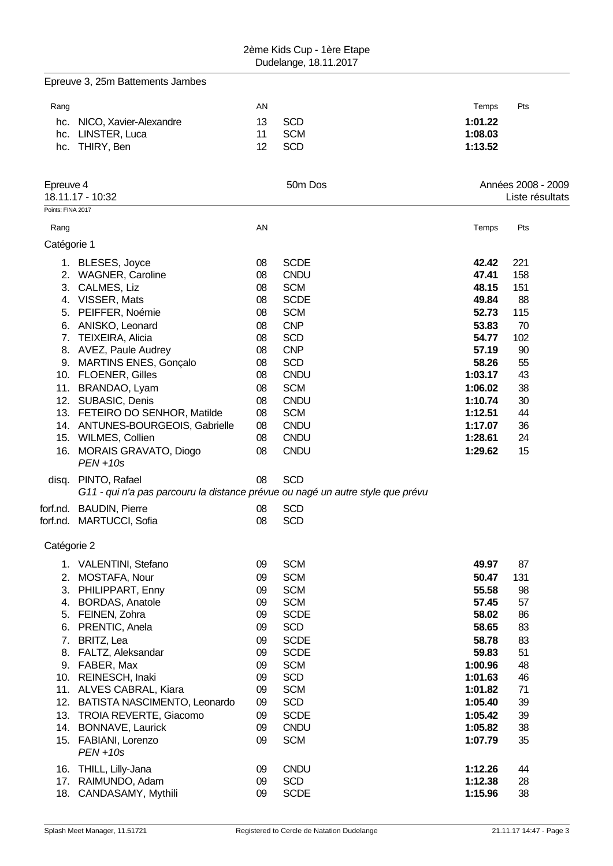|                   | Epreuve 3, 25m Battements Jambes                                                                                                                                                                                                                                                                                                                                                                                                                                                                                         |                                                                                                    |                                                                                                                                                                                                                                                    |                                                                                                                                                            |                                                                                                   |
|-------------------|--------------------------------------------------------------------------------------------------------------------------------------------------------------------------------------------------------------------------------------------------------------------------------------------------------------------------------------------------------------------------------------------------------------------------------------------------------------------------------------------------------------------------|----------------------------------------------------------------------------------------------------|----------------------------------------------------------------------------------------------------------------------------------------------------------------------------------------------------------------------------------------------------|------------------------------------------------------------------------------------------------------------------------------------------------------------|---------------------------------------------------------------------------------------------------|
| Rang              |                                                                                                                                                                                                                                                                                                                                                                                                                                                                                                                          | AN                                                                                                 |                                                                                                                                                                                                                                                    | Temps                                                                                                                                                      | Pts                                                                                               |
|                   | hc. NICO, Xavier-Alexandre<br>hc. LINSTER, Luca<br>hc. THIRY, Ben                                                                                                                                                                                                                                                                                                                                                                                                                                                        | 13<br>11<br>12                                                                                     | <b>SCD</b><br><b>SCM</b><br><b>SCD</b>                                                                                                                                                                                                             | 1:01.22<br>1:08.03<br>1:13.52                                                                                                                              |                                                                                                   |
| Epreuve 4         | 18.11.17 - 10:32                                                                                                                                                                                                                                                                                                                                                                                                                                                                                                         |                                                                                                    | 50m Dos                                                                                                                                                                                                                                            |                                                                                                                                                            | Années 2008 - 2009<br>Liste résultats                                                             |
| Points: FINA 2017 |                                                                                                                                                                                                                                                                                                                                                                                                                                                                                                                          |                                                                                                    |                                                                                                                                                                                                                                                    |                                                                                                                                                            |                                                                                                   |
| Rang              |                                                                                                                                                                                                                                                                                                                                                                                                                                                                                                                          | AN                                                                                                 |                                                                                                                                                                                                                                                    | Temps                                                                                                                                                      | Pts                                                                                               |
| Catégorie 1       |                                                                                                                                                                                                                                                                                                                                                                                                                                                                                                                          |                                                                                                    |                                                                                                                                                                                                                                                    |                                                                                                                                                            |                                                                                                   |
|                   | 1. BLESES, Joyce<br>2. WAGNER, Caroline<br>3. CALMES, Liz<br>4. VISSER, Mats<br>5. PEIFFER, Noémie<br>6. ANISKO, Leonard<br>7. TEIXEIRA, Alicia<br>8. AVEZ, Paule Audrey<br>9. MARTINS ENES, Gonçalo<br>10. FLOENER, Gilles<br>11. BRANDAO, Lyam<br>12. SUBASIC, Denis<br>13. FETEIRO DO SENHOR, Matilde<br>14. ANTUNES-BOURGEOIS, Gabrielle<br>15. WILMES, Collien<br>16. MORAIS GRAVATO, Diogo<br>$PEN + 10s$<br>disq. PINTO, Rafael<br>G11 - qui n'a pas parcouru la distance prévue ou nagé un autre style que prévu | 08<br>08<br>08<br>08<br>08<br>08<br>08<br>08<br>08<br>08<br>08<br>08<br>08<br>08<br>08<br>08<br>08 | <b>SCDE</b><br><b>CNDU</b><br><b>SCM</b><br><b>SCDE</b><br><b>SCM</b><br><b>CNP</b><br><b>SCD</b><br><b>CNP</b><br><b>SCD</b><br><b>CNDU</b><br><b>SCM</b><br><b>CNDU</b><br><b>SCM</b><br><b>CNDU</b><br><b>CNDU</b><br><b>CNDU</b><br><b>SCD</b> | 42.42<br>47.41<br>48.15<br>49.84<br>52.73<br>53.83<br>54.77<br>57.19<br>58.26<br>1:03.17<br>1:06.02<br>1:10.74<br>1:12.51<br>1:17.07<br>1:28.61<br>1:29.62 | 221<br>158<br>151<br>88<br>115<br>70<br>102<br>90<br>55<br>43<br>38<br>30<br>44<br>36<br>24<br>15 |
|                   | forf.nd. BAUDIN, Pierre<br>forf.nd. MARTUCCI, Sofia                                                                                                                                                                                                                                                                                                                                                                                                                                                                      | 08<br>08                                                                                           | <b>SCD</b><br><b>SCD</b>                                                                                                                                                                                                                           |                                                                                                                                                            |                                                                                                   |
| Catégorie 2       |                                                                                                                                                                                                                                                                                                                                                                                                                                                                                                                          |                                                                                                    |                                                                                                                                                                                                                                                    |                                                                                                                                                            |                                                                                                   |
|                   | 1. VALENTINI, Stefano<br>2. MOSTAFA, Nour<br>3. PHILIPPART, Enny<br>4. BORDAS, Anatole<br>5. FEINEN, Zohra<br>6. PRENTIC, Anela<br>7. BRITZ, Lea<br>8. FALTZ, Aleksandar<br>9. FABER, Max<br>10. REINESCH, Inaki<br>11. ALVES CABRAL, Kiara<br>12. BATISTA NASCIMENTO, Leonardo<br>13. TROIA REVERTE, Giacomo<br>14. BONNAVE, Laurick<br>15. FABIANI, Lorenzo<br>$PEN + 10s$                                                                                                                                             | 09<br>09<br>09<br>09<br>09<br>09<br>09<br>09<br>09<br>09<br>09<br>09<br>09<br>09<br>09             | <b>SCM</b><br><b>SCM</b><br><b>SCM</b><br><b>SCM</b><br><b>SCDE</b><br><b>SCD</b><br><b>SCDE</b><br><b>SCDE</b><br><b>SCM</b><br><b>SCD</b><br><b>SCM</b><br><b>SCD</b><br><b>SCDE</b><br><b>CNDU</b><br><b>SCM</b>                                | 49.97<br>50.47<br>55.58<br>57.45<br>58.02<br>58.65<br>58.78<br>59.83<br>1:00.96<br>1:01.63<br>1:01.82<br>1:05.40<br>1:05.42<br>1:05.82<br>1:07.79          | 87<br>131<br>98<br>57<br>86<br>83<br>83<br>51<br>48<br>46<br>71<br>39<br>39<br>38<br>35           |
|                   | 16. THILL, Lilly-Jana<br>17. RAIMUNDO, Adam<br>18. CANDASAMY, Mythili                                                                                                                                                                                                                                                                                                                                                                                                                                                    | 09<br>09<br>09                                                                                     | <b>CNDU</b><br><b>SCD</b><br><b>SCDE</b>                                                                                                                                                                                                           | 1:12.26<br>1:12.38<br>1:15.96                                                                                                                              | 44<br>28<br>38                                                                                    |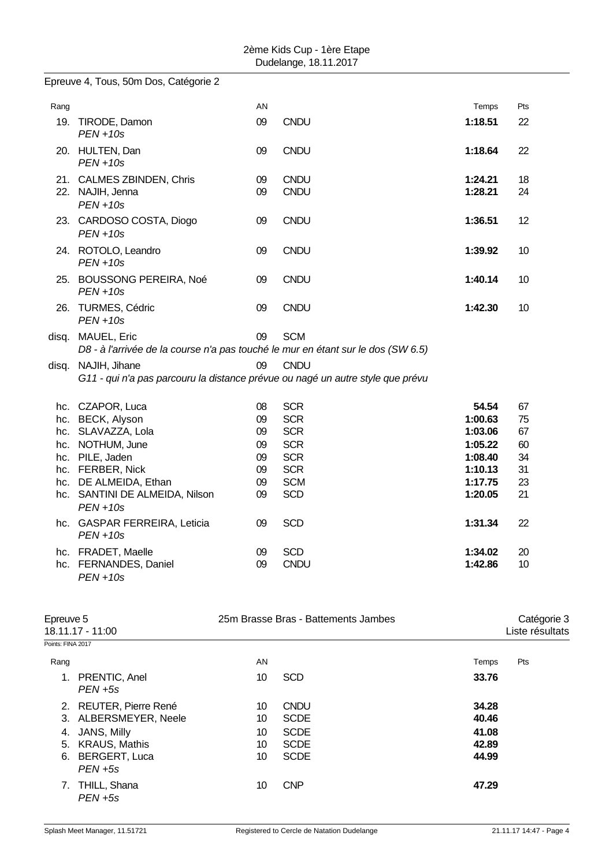|      | Epreuve 4, Tous, 50m Dos, Catégorie 2                                                                 |          |                     |                    |          |
|------|-------------------------------------------------------------------------------------------------------|----------|---------------------|--------------------|----------|
| Rang |                                                                                                       | AN       |                     | Temps              | Pts      |
|      | 19. TIRODE, Damon<br>$PEN + 10s$                                                                      | 09       | <b>CNDU</b>         | 1:18.51            | 22       |
|      | 20. HULTEN, Dan<br>$PEN + 10s$                                                                        | 09       | <b>CNDU</b>         | 1:18.64            | 22       |
|      | 21. CALMES ZBINDEN, Chris<br>22. NAJIH, Jenna                                                         | 09<br>09 | CNDU<br><b>CNDU</b> | 1:24.21<br>1:28.21 | 18<br>24 |
|      | $PEN + 10s$<br>23. CARDOSO COSTA, Diogo                                                               | 09       | <b>CNDU</b>         | 1:36.51            | 12       |
|      | $PEN + 10s$                                                                                           |          |                     |                    |          |
|      | 24. ROTOLO, Leandro<br>$PEN + 10s$                                                                    | 09       | CNDU                | 1:39.92            | 10       |
|      | 25. BOUSSONG PEREIRA, Noé<br>$PEN + 10s$                                                              | 09       | <b>CNDU</b>         | 1:40.14            | 10       |
|      | 26. TURMES, Cédric<br>$PEN + 10s$                                                                     | 09       | <b>CNDU</b>         | 1:42.30            | 10       |
|      | disq. MAUEL, Eric<br>D8 - à l'arrivée de la course n'a pas touché le mur en étant sur le dos (SW 6.5) | 09       | <b>SCM</b>          |                    |          |
|      | disq. NAJIH, Jihane<br>G11 - qui n'a pas parcouru la distance prévue ou nagé un autre style que prévu | 09       | <b>CNDU</b>         |                    |          |
|      | hc. CZAPOR, Luca                                                                                      | 08       | <b>SCR</b>          | 54.54              | 67       |
|      | hc. BECK, Alyson                                                                                      | 09       | <b>SCR</b>          | 1:00.63            | 75       |
|      | hc. SLAVAZZA, Lola                                                                                    | 09       | <b>SCR</b>          | 1:03.06            | 67       |
|      | hc. NOTHUM, June                                                                                      | 09       | <b>SCR</b>          | 1:05.22            | 60       |
|      | hc. PILE, Jaden                                                                                       | 09       | <b>SCR</b>          | 1:08.40            | 34       |
|      | hc. FERBER, Nick                                                                                      | 09       | <b>SCR</b>          | 1:10.13            | 31       |
|      | hc. DE ALMEIDA, Ethan                                                                                 | 09       | <b>SCM</b>          | 1:17.75            | 23       |
|      | hc. SANTINI DE ALMEIDA, Nilson<br>$PEN + 10s$                                                         | 09       | <b>SCD</b>          | 1:20.05            | 21       |
|      | hc. GASPAR FERREIRA, Leticia<br>$PEN + 10s$                                                           | 09       | <b>SCD</b>          | 1:31.34            | 22       |
|      | hc. FRADET, Maelle                                                                                    | 09       | <b>SCD</b>          | 1:34.02            | 20       |
|      | hc. FERNANDES, Daniel<br>$PEN + 10s$                                                                  | 09       | <b>CNDU</b>         | 1:42.86            | 10       |

| Epreuve 5<br>18.11.17 - 11:00 |                                |    | 25m Brasse Bras - Battements Jambes | Catégorie 3<br>Liste résultats |     |  |
|-------------------------------|--------------------------------|----|-------------------------------------|--------------------------------|-----|--|
| Points: FINA 2017             |                                |    |                                     |                                |     |  |
| Rang                          |                                | AN |                                     | Temps                          | Pts |  |
|                               | 1. PRENTIC, Anel<br>$PEN + 5s$ | 10 | <b>SCD</b>                          | 33.76                          |     |  |
|                               | 2. REUTER, Pierre René         | 10 | <b>CNDU</b>                         | 34.28                          |     |  |
|                               | 3. ALBERSMEYER, Neele          | 10 | <b>SCDE</b>                         | 40.46                          |     |  |
| 4.                            | JANS, Milly                    | 10 | <b>SCDE</b>                         | 41.08                          |     |  |
|                               | 5. KRAUS, Mathis               | 10 | <b>SCDE</b>                         | 42.89                          |     |  |
|                               | 6. BERGERT, Luca<br>$PEN + 5s$ | 10 | <b>SCDE</b>                         | 44.99                          |     |  |
|                               | 7. THILL, Shana<br>$PEN + 5s$  | 10 | <b>CNP</b>                          | 47.29                          |     |  |